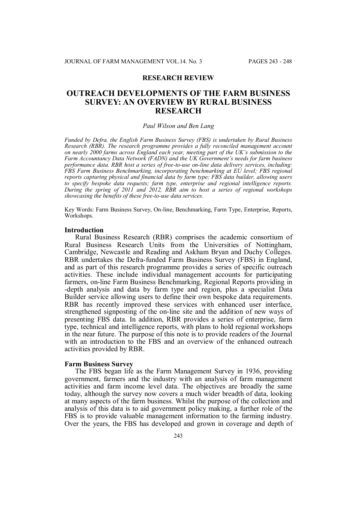## **RESEARCH REVIEW**

# **OUTREACH DEVELOPMENTS OF THE FARM BUSINESS SURVEY: AN OVERVIEW BY RURAL BUSINESS RESEARCH**

#### *Paul Wilson and Ben Lang*

*Funded by Defra, the English Farm Business Survey (FBS) is undertaken by Rural Business Research (RBR). The research programme provides a fully reconciled management account on nearly 2000 farms across England each year, meeting part of the UK's submission to the Farm Accountancy Data Network (FADN) and the UK Government's needs for farm business performance data. RBR host a series of free-to-use on-line data delivery services, including: FBS Farm Business Benchmarking, incorporating benchmarking at EU level; FBS regional reports capturing physical and financial data by farm type; FBS data builder, allowing users to specify bespoke data requests; farm type, enterprise and regional intelligence reports. During the spring of 2011 and 2012, RBR aim to host a series of regional workshops showcasing the benefits of these free-to-use data services.*

Key Words: Farm Business Survey, On-line, Benchmarking, Farm Type, Enterprise, Reports, Workshops.

#### **Introduction**

Rural Business Research (RBR) comprises the academic consortium of Rural Business Research Units from the Universities of Nottingham, Cambridge, Newcastle and Reading and Askham Bryan and Duchy Colleges. RBR undertakes the Defra-funded Farm Business Survey (FBS) in England, and as part of this research programme provides a series of specific outreach activities. These include individual management accounts for participating farmers, on-line Farm Business Benchmarking, Regional Reports providing in -depth analysis and data by farm type and region, plus a specialist Data Builder service allowing users to define their own bespoke data requirements. RBR has recently improved these services with enhanced user interface, strengthened signposting of the on-line site and the addition of new ways of presenting FBS data. In addition, RBR provides a series of enterprise, farm type, technical and intelligence reports, with plans to hold regional workshops in the near future. The purpose of this note is to provide readers of the Journal with an introduction to the FBS and an overview of the enhanced outreach activities provided by RBR.

## **Farm Business Survey**

The FBS began life as the Farm Management Survey in 1936, providing government, farmers and the industry with an analysis of farm management activities and farm income level data. The objectives are broadly the same today, although the survey now covers a much wider breadth of data, looking at many aspects of the farm business. Whilst the purpose of the collection and analysis of this data is to aid government policy making, a further role of the FBS is to provide valuable management information to the farming industry. Over the years, the FBS has developed and grown in coverage and depth of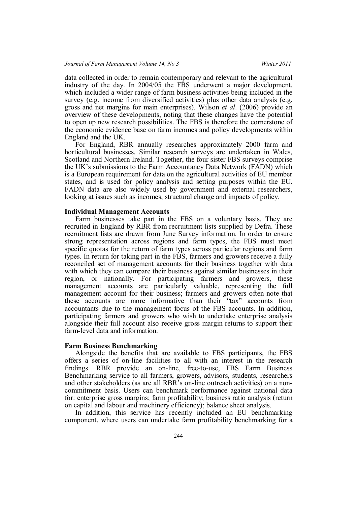data collected in order to remain contemporary and relevant to the agricultural industry of the day. In 2004/05 the FBS underwent a major development, which included a wider range of farm business activities being included in the survey (e.g. income from diversified activities) plus other data analysis (e.g. gross and net margins for main enterprises). Wilson *et al*. (2006) provide an overview of these developments, noting that these changes have the potential to open up new research possibilities. The FBS is therefore the cornerstone of the economic evidence base on farm incomes and policy developments within England and the UK.

For England, RBR annually researches approximately 2000 farm and horticultural businesses. Similar research surveys are undertaken in Wales, Scotland and Northern Ireland. Together, the four sister FBS surveys comprise the UK's submissions to the Farm Accountancy Data Network (FADN) which is a European requirement for data on the agricultural activities of EU member states, and is used for policy analysis and setting purposes within the EU. FADN data are also widely used by government and external researchers, looking at issues such as incomes, structural change and impacts of policy.

#### **Individual Management Accounts**

Farm businesses take part in the FBS on a voluntary basis. They are recruited in England by RBR from recruitment lists supplied by Defra. These recruitment lists are drawn from June Survey information. In order to ensure strong representation across regions and farm types, the FBS must meet specific quotas for the return of farm types across particular regions and farm types. In return for taking part in the FBS, farmers and growers receive a fully reconciled set of management accounts for their business together with data with which they can compare their business against similar businesses in their region, or nationally. For participating farmers and growers, these management accounts are particularly valuable, representing the full management account for their business; farmers and growers often note that these accounts are more informative than their "tax" accounts from accountants due to the management focus of the FBS accounts. In addition, participating farmers and growers who wish to undertake enterprise analysis alongside their full account also receive gross margin returns to support their farm-level data and information.

## **Farm Business Benchmarking**

Alongside the benefits that are available to FBS participants, the FBS offers a series of on-line facilities to all with an interest in the research findings. RBR provide an on-line, free-to-use, FBS Farm Business Benchmarking service to all farmers, growers, advisors, students, researchers and other stakeholders (as are all RBR's on-line outreach activities) on a noncommitment basis. Users can benchmark performance against national data for: enterprise gross margins; farm profitability; business ratio analysis (return on capital and labour and machinery efficiency); balance sheet analysis.

In addition, this service has recently included an EU benchmarking component, where users can undertake farm profitability benchmarking for a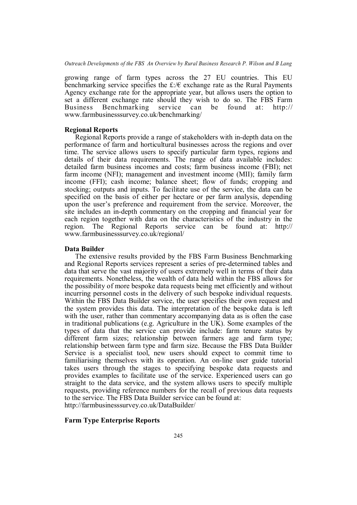growing range of farm types across the 27 EU countries. This EU benchmarking service specifies the  $f: \mathcal{E}$  exchange rate as the Rural Payments Agency exchange rate for the appropriate year, but allows users the option to set a different exchange rate should they wish to do so. The FBS Farm Business Benchmarking service can be found at: http:// www.farmbusinesssurvey.co.uk/benchmarking/

#### **Regional Reports**

Regional Reports provide a range of stakeholders with in-depth data on the performance of farm and horticultural businesses across the regions and over time. The service allows users to specify particular farm types, regions and details of their data requirements. The range of data available includes: detailed farm business incomes and costs; farm business income (FBI); net farm income (NFI); management and investment income (MII); family farm income (FFI); cash income; balance sheet; flow of funds; cropping and stocking; outputs and inputs. To facilitate use of the service, the data can be specified on the basis of either per hectare or per farm analysis, depending upon the user's preference and requirement from the service. Moreover, the site includes an in-depth commentary on the cropping and financial year for each region together with data on the characteristics of the industry in the region. The Regional Reports service can be found at: http:// www.farmbusinesssurvey.co.uk/regional/

#### **Data Builder**

The extensive results provided by the FBS Farm Business Benchmarking and Regional Reports services represent a series of pre-determined tables and data that serve the vast majority of users extremely well in terms of their data requirements. Nonetheless, the wealth of data held within the FBS allows for the possibility of more bespoke data requests being met efficiently and without incurring personnel costs in the delivery of such bespoke individual requests. Within the FBS Data Builder service, the user specifies their own request and the system provides this data. The interpretation of the bespoke data is left with the user, rather than commentary accompanying data as is often the case in traditional publications (e.g. Agriculture in the UK). Some examples of the types of data that the service can provide include: farm tenure status by different farm sizes; relationship between farmers age and farm type; relationship between farm type and farm size. Because the FBS Data Builder Service is a specialist tool, new users should expect to commit time to familiarising themselves with its operation. An on-line user guide tutorial takes users through the stages to specifying bespoke data requests and provides examples to facilitate use of the service. Experienced users can go straight to the data service, and the system allows users to specify multiple requests, providing reference numbers for the recall of previous data requests to the service. The FBS Data Builder service can be found at: http://farmbusinesssurvey.co.uk/DataBuilder/

#### **Farm Type Enterprise Reports**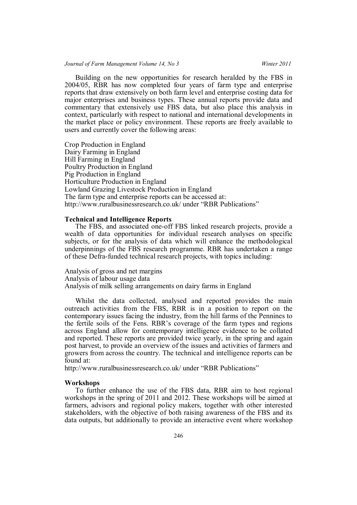## *Journal of Farm Management Volume 14, No 3 Winter 2011*

Building on the new opportunities for research heralded by the FBS in 2004/05, RBR has now completed four years of farm type and enterprise reports that draw extensively on both farm level and enterprise costing data for major enterprises and business types. These annual reports provide data and commentary that extensively use FBS data, but also place this analysis in context, particularly with respect to national and international developments in the market place or policy environment. These reports are freely available to users and currently cover the following areas:

Crop Production in England Dairy Farming in England Hill Farming in England Poultry Production in England Pig Production in England Horticulture Production in England Lowland Grazing Livestock Production in England The farm type and enterprise reports can be accessed at: http://www.ruralbusinessresearch.co.uk/ under "RBR Publications"

## **Technical and Intelligence Reports**

The FBS, and associated one-off FBS linked research projects, provide a wealth of data opportunities for individual research analyses on specific subjects, or for the analysis of data which will enhance the methodological underpinnings of the FBS research programme. RBR has undertaken a range of these Defra-funded technical research projects, with topics including:

Analysis of gross and net margins Analysis of labour usage data Analysis of milk selling arrangements on dairy farms in England

Whilst the data collected, analysed and reported provides the main outreach activities from the FBS, RBR is in a position to report on the contemporary issues facing the industry, from the hill farms of the Pennines to the fertile soils of the Fens. RBR's coverage of the farm types and regions across England allow for contemporary intelligence evidence to be collated and reported. These reports are provided twice yearly, in the spring and again post harvest, to provide an overview of the issues and activities of farmers and growers from across the country. The technical and intelligence reports can be found at:

http://www.ruralbusinessresearch.co.uk/ under "RBR Publications"

#### **Workshops**

To further enhance the use of the FBS data, RBR aim to host regional workshops in the spring of 2011 and 2012. These workshops will be aimed at farmers, advisors and regional policy makers, together with other interested stakeholders, with the objective of both raising awareness of the FBS and its data outputs, but additionally to provide an interactive event where workshop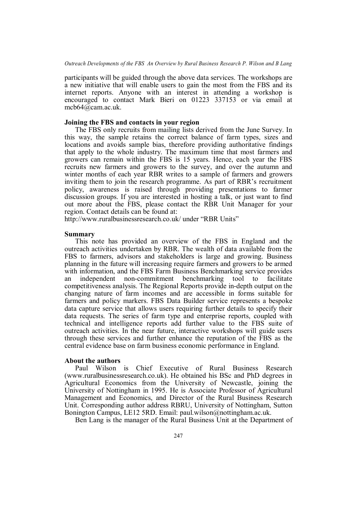participants will be guided through the above data services. The workshops are a new initiative that will enable users to gain the most from the FBS and its internet reports. Anyone with an interest in attending a workshop is encouraged to contact Mark Bieri on 01223 337153 or via email at mcb64@cam.ac.uk.

#### **Joining the FBS and contacts in your region**

The FBS only recruits from mailing lists derived from the June Survey. In this way, the sample retains the correct balance of farm types, sizes and locations and avoids sample bias, therefore providing authoritative findings that apply to the whole industry. The maximum time that most farmers and growers can remain within the FBS is 15 years. Hence, each year the FBS recruits new farmers and growers to the survey, and over the autumn and winter months of each year RBR writes to a sample of farmers and growers inviting them to join the research programme. As part of RBR's recruitment policy, awareness is raised through providing presentations to farmer discussion groups. If you are interested in hosting a talk, or just want to find out more about the FBS, please contact the RBR Unit Manager for your region. Contact details can be found at:

http://www.ruralbusinessresearch.co.uk/ under "RBR Units"

## **Summary**

This note has provided an overview of the FBS in England and the outreach activities undertaken by RBR. The wealth of data available from the FBS to farmers, advisors and stakeholders is large and growing. Business planning in the future will increasing require farmers and growers to be armed with information, and the FBS Farm Business Benchmarking service provides an independent non-commitment benchmarking tool to facilitate competitiveness analysis. The Regional Reports provide in-depth output on the changing nature of farm incomes and are accessible in forms suitable for farmers and policy markers. FBS Data Builder service represents a bespoke data capture service that allows users requiring further details to specify their data requests. The series of farm type and enterprise reports, coupled with technical and intelligence reports add further value to the FBS suite of outreach activities. In the near future, interactive workshops will guide users through these services and further enhance the reputation of the FBS as the central evidence base on farm business economic performance in England.

#### **About the authors**

Paul Wilson is Chief Executive of Rural Business Research (www.ruralbusinessresearch.co.uk). He obtained his BSc and PhD degrees in Agricultural Economics from the University of Newcastle, joining the University of Nottingham in 1995. He is Associate Professor of Agricultural Management and Economics, and Director of the Rural Business Research Unit. Corresponding author address RBRU, University of Nottingham, Sutton Bonington Campus, LE12 5RD. Email: paul.wilson@nottingham.ac.uk.

Ben Lang is the manager of the Rural Business Unit at the Department of